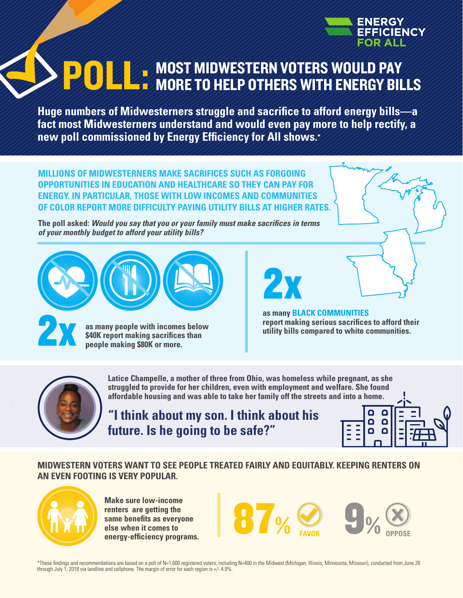

# MOST MIDWESTERN VOTERS WOULD PAY **POLL: MOST MIDWESTERN VOTERS WOULD PAY**

**Huge numbers of Midwesterners struggle and sacrifice to afford energy bills—a fact most Midwesterners understand and would even pay more to help rectify, a new poll commissioned by Energy Efficiency for All shows.\***

**MILLIONS OF MIDWESTERNERS MAKE SACRIFICES SUCH AS FORGOING OPPORTUNITIES IN EDUCATION AND HEALTHCARE SO THEY CAN PAY FOR ENERGY. IN PARTICULAR, THOSE WITH LOW INCOMES AND COMMUNITIES OF COLOR REPORT MORE DIFFICULTY PAYING UTILITY BILLS AT HIGHER RATES.** 

**The poll asked:** *Would you say that you or your family must make sacrifices in terms of your monthly budget to afford your utility bills?* 



**as many people with incomes below \$40K report making sacrifices than people making \$80K or more.**

# 2x

**as many BLACK COMMUNITIES report making serious sacrifices to afford their utility bills compared to white communities.**



**Latice Champelle, a mother of three from Ohio, was homeless while pregnant, as she struggled to provide for her children, even with employment and welfare. She found affordable housing and was able to take her family off the streets and into a home.**

**"I think about my son. I think about his future. Is he going to be safe?"**



#### **MIDWESTERN VOTERS WANT TO SEE PEOPLE TREATED FAIRLY AND EQUITABLY. KEEPING RENTERS ON AN EVEN FOOTING IS VERY POPULAR.**



**Make sure low-income renters are getting the same benefits as everyone else when it comes to** 



\*These findings and recommendations are based on a poll of N=1,600 registered voters, including N=400 in the Midwest (Michigan, Illinois, Minnesota, Missouri), conducted from June 26 through July 1, 2018 via landline and cellphone. The margin of error for each region is +/- 4.9%.